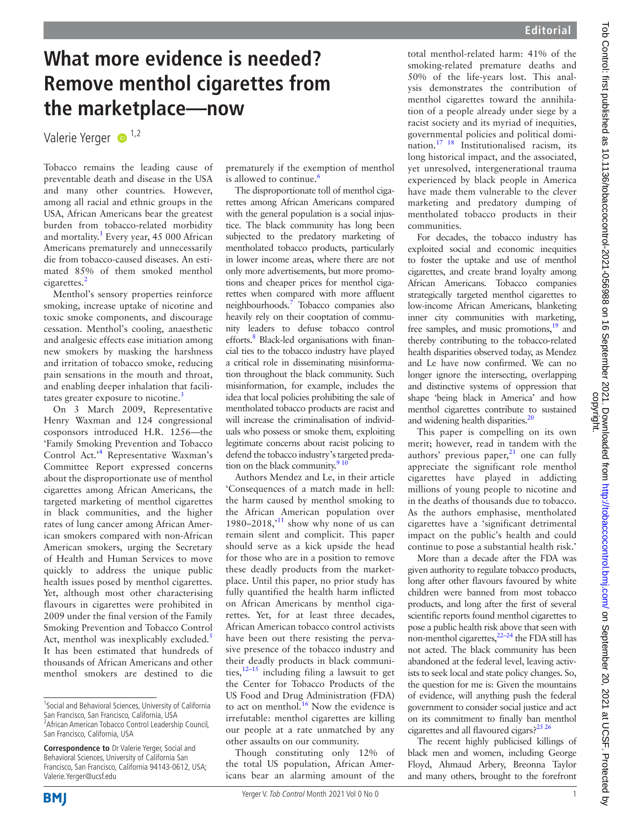# **What more evidence is needed? Remove menthol cigarettes from the marketplace—now**

Valerie Yerger <sup>1,2</sup>

Tobacco remains the leading cause of preventable death and disease in the USA and many other countries. However, among all racial and ethnic groups in the USA, African Americans bear the greatest burden from tobacco-related morbidity and mortality.<sup>1</sup> Every year, 45 000 African Americans prematurely and unnecessarily die from tobacco-caused diseases. An estimated 85% of them smoked menthol cigarettes.<sup>2</sup>

Menthol's sensory properties reinforce smoking, increase uptake of nicotine and toxic smoke components, and discourage cessation. Menthol's cooling, anaesthetic and analgesic effects ease initiation among new smokers by masking the harshness and irritation of tobacco smoke, reducing pain sensations in the mouth and throat, and enabling deeper inhalation that facilitates greater exposure to nicotine.<sup>3</sup>

On 3 March 2009, Representative Henry Waxman and 124 congressional cosponsors introduced H.R. 1256—the 'Family Smoking Prevention and Tobacco Control Act.'4 Representative Waxman's Committee Report expressed concerns about the disproportionate use of menthol cigarettes among African Americans, the targeted marketing of menthol cigarettes in black communities, and the higher rates of lung cancer among African American smokers compared with non-African American smokers, urging the Secretary of Health and Human Services to move quickly to address the unique public health issues posed by menthol cigarettes. Yet, although most other characterising flavours in cigarettes were prohibited in 2009 under the final version of the Family Smoking Prevention and Tobacco Control Act, menthol was inexplicably excluded.<sup>5</sup> It has been estimated that hundreds of thousands of African Americans and other menthol smokers are destined to die

prematurely if the exemption of menthol is allowed to continue.<sup>6</sup>

The disproportionate toll of menthol cigarettes among African Americans compared with the general population is a social injustice. The black community has long been subjected to the predatory marketing of mentholated tobacco products, particularly in lower income areas, where there are not only more advertisements, but more promotions and cheaper prices for menthol cigarettes when compared with more affluent neighbourhoods.7 Tobacco companies also heavily rely on their cooptation of community leaders to defuse tobacco control efforts.<sup>8</sup> Black-led organisations with financial ties to the tobacco industry have played a critical role in disseminating misinformation throughout the black community. Such misinformation, for example, includes the idea that local policies prohibiting the sale of mentholated tobacco products are racist and will increase the criminalisation of individuals who possess or smoke them, exploiting legitimate concerns about racist policing to defend the tobacco industry's targeted predation on the black community. $910$ 

Authors Mendez and Le, in their article 'Consequences of a match made in hell: the harm caused by menthol smoking to the African American population over 1980–2018,<sup> $11$ </sup> show why none of us can remain silent and complicit. This paper should serve as a kick upside the head for those who are in a position to remove these deadly products from the marketplace. Until this paper, no prior study has fully quantified the health harm inflicted on African Americans by menthol cigarettes. Yet, for at least three decades, African American tobacco control activists have been out there resisting the pervasive presence of the tobacco industry and their deadly products in black communities,  $12-15$  including filing a lawsuit to get the Center for Tobacco Products of the US Food and Drug Administration (FDA) to act on menthol.<sup>16</sup> Now the evidence is irrefutable: menthol cigarettes are killing our people at a rate unmatched by any other assaults on our community.

Though constituting only 12% of the total US population, African Americans bear an alarming amount of the total menthol-related harm: 41% of the smoking-related premature deaths and 50% of the life-years lost. This analysis demonstrates the contribution of menthol cigarettes toward the annihilation of a people already under siege by a racist society and its myriad of inequities, governmental policies and political domination.17 18 Institutionalised racism, its long historical impact, and the associated, yet unresolved, intergenerational trauma experienced by black people in America have made them vulnerable to the clever marketing and predatory dumping of mentholated tobacco products in their communities.

For decades, the tobacco industry has exploited social and economic inequities to foster the uptake and use of menthol cigarettes, and create brand loyalty among African Americans. Tobacco companies strategically targeted menthol cigarettes to low-income African Americans, blanketing inner city communities with marketing, free samples, and music promotions, $19$  and thereby contributing to the tobacco-related health disparities observed today, as Mendez and Le have now confirmed. We can no longer ignore the intersecting, overlapping and distinctive systems of oppression that shape 'being black in America' and how menthol cigarettes contribute to sustained and widening health disparities. $^{20}$ 

This paper is compelling on its own merit; however, read in tandem with the authors' previous paper, $21$  one can fully appreciate the significant role menthol cigarettes have played in addicting millions of young people to nicotine and in the deaths of thousands due to tobacco. As the authors emphasise, mentholated cigarettes have a 'significant detrimental impact on the public's health and could continue to pose a substantial health risk.'

More than a decade after the FDA was given authority to regulate tobacco products, long after other flavours favoured by white children were banned from most tobacco products, and long after the first of several scientific reports found menthol cigarettes to pose a public health risk above that seen with non-menthol cigarettes, $22-24$  the FDA still has not acted. The black community has been abandoned at the federal level, leaving activists to seek local and state policy changes. So, the question for me is: Given the mountains of evidence, will anything push the federal government to consider social justice and act on its commitment to finally ban menthol cigarettes and all flavoured cigars?<sup>25 26</sup>

The recent highly publicised killings of black men and women, including George Floyd, Ahmaud Arbery, Breonna Taylor and many others, brought to the forefront

<sup>&</sup>lt;sup>1</sup> Social and Behavioral Sciences, University of California San Francisco, San Francisco, California, USA <sup>2</sup> African American Tobacco Control Leadership Council, San Francisco, California, USA

**Correspondence to** Dr Valerie Yerger, Social and Behavioral Sciences, University of California San Francisco, San Francisco, California 94143-0612, USA; Valerie.Yerger@ucsf.edu